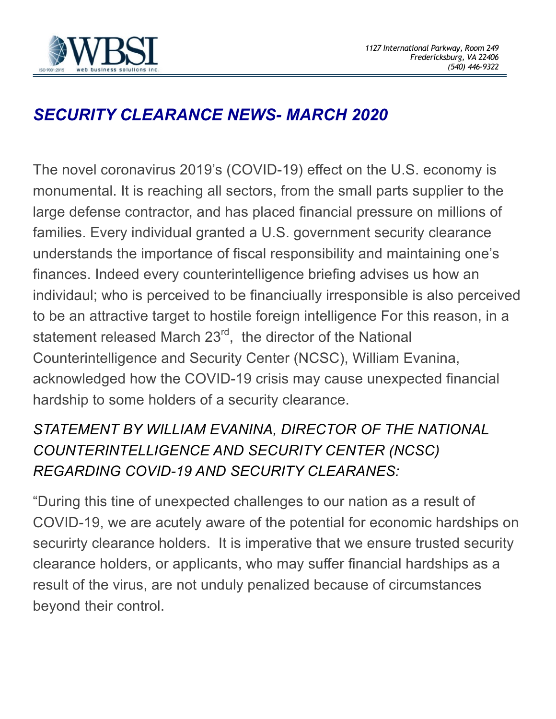

## *SECURITY CLEARANCE NEWS- MARCH 2020*

The novel coronavirus 2019's (COVID-19) effect on the U.S. economy is monumental. It is reaching all sectors, from the small parts supplier to the large defense contractor, and has placed financial pressure on millions of families. Every individual granted a U.S. government security clearance understands the importance of fiscal responsibility and maintaining one's finances. Indeed every counterintelligence briefing advises us how an individaul; who is perceived to be financiually irresponsible is also perceived to be an attractive target to hostile foreign intelligence For this reason, in a statement released March 23<sup>rd</sup>, the director of the National Counterintelligence and Security Center (NCSC), William Evanina, acknowledged how the COVID-19 crisis may cause unexpected financial hardship to some holders of a security clearance.

## *STATEMENT BY WILLIAM EVANINA, DIRECTOR OF THE NATIONAL COUNTERINTELLIGENCE AND SECURITY CENTER (NCSC) REGARDING COVID-19 AND SECURITY CLEARANES:*

"During this tine of unexpected challenges to our nation as a result of COVID-19, we are acutely aware of the potential for economic hardships on securirty clearance holders. It is imperative that we ensure trusted security clearance holders, or applicants, who may suffer financial hardships as a result of the virus, are not unduly penalized because of circumstances beyond their control.